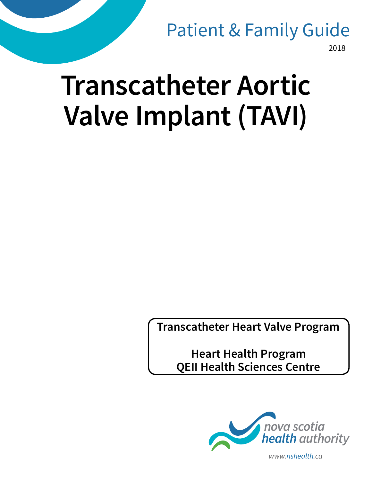## Patient & Family Guide

2018

# **Transcatheter Aortic Valve Implant (TAVI)**

**Transcatheter Heart Valve Program**

**Heart Health Program QEII Health Sciences Centre**



*www.nshealth.ca*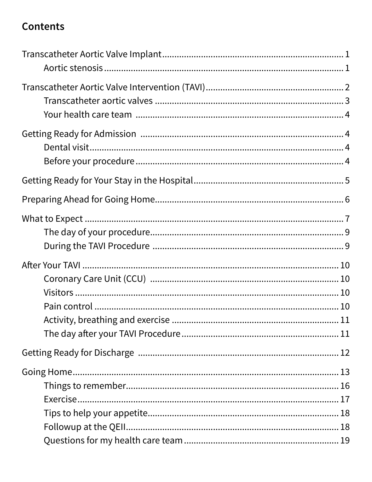#### **Contents**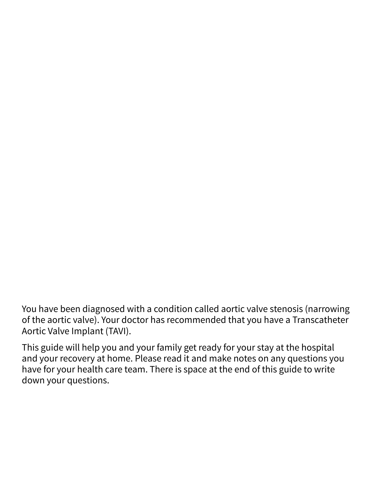You have been diagnosed with a condition called aortic valve stenosis (narrowing of the aortic valve). Your doctor has recommended that you have a Transcatheter Aortic Valve Implant (TAVI).

This guide will help you and your family get ready for your stay at the hospital and your recovery at home. Please read it and make notes on any questions you have for your health care team. There is space at the end of this guide to write down your questions.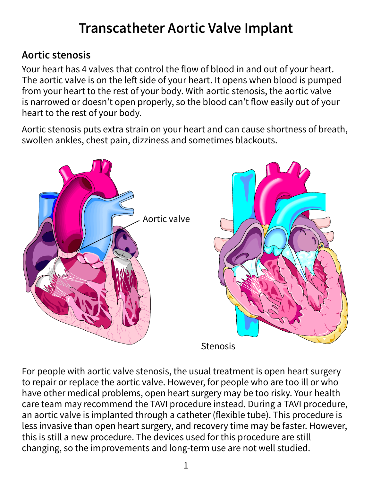### **Transcatheter Aortic Valve Implant**

#### **Aortic stenosis**

Your heart has 4 valves that control the flow of blood in and out of your heart. The aortic valve is on the left side of your heart. It opens when blood is pumped from your heart to the rest of your body. With aortic stenosis, the aortic valve is narrowed or doesn't open properly, so the blood can't flow easily out of your heart to the rest of your body.

Aortic stenosis puts extra strain on your heart and can cause shortness of breath, swollen ankles, chest pain, dizziness and sometimes blackouts.



For people with aortic valve stenosis, the usual treatment is open heart surgery to repair or replace the aortic valve. However, for people who are too ill or who have other medical problems, open heart surgery may be too risky.
Your health care team may recommend the TAVI procedure instead. During a TAVI procedure, an aortic valve is implanted through a catheter (flexible tube). This procedure is less invasive than open heart surgery, and recovery time may be faster. However, this is still a new procedure. The devices used for this procedure are still changing, so the improvements and long-term use are not well studied.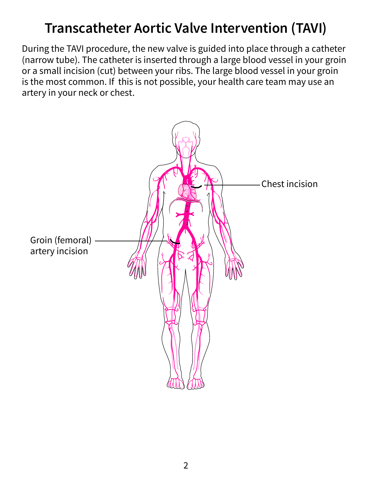### **Transcatheter Aortic Valve Intervention (TAVI)**

During the TAVI procedure, the new valve is guided into place through a catheter (narrow tube). The catheter is inserted through a large blood vessel in your groin or a small incision (cut) between your ribs. The large blood vessel in your groin is the most common. If this is not possible, your health care team may use an artery in your neck or chest.

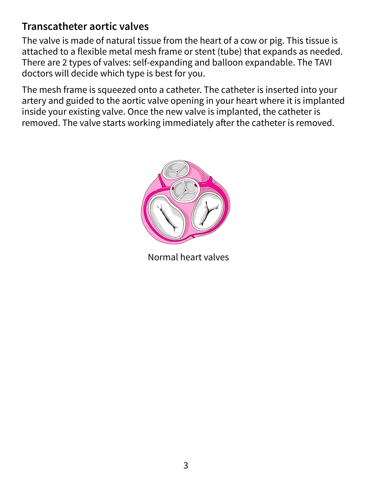#### **Transcatheter aortic valves**

The valve is made of natural tissue from the heart of a cow or pig. This tissue is attached to a flexible metal mesh frame or stent (tube) that expands as needed. There are 2 types of valves: self-expanding and balloon expandable. The TAVI doctors will decide which type is best for you.

The mesh frame is squeezed onto a catheter. The catheter is inserted into your artery and guided to the aortic valve opening in your heart where it is implanted inside your existing valve. Once the new valve is implanted, the catheter is removed. The valve starts working immediately after the catheter is removed.



Normal heart valves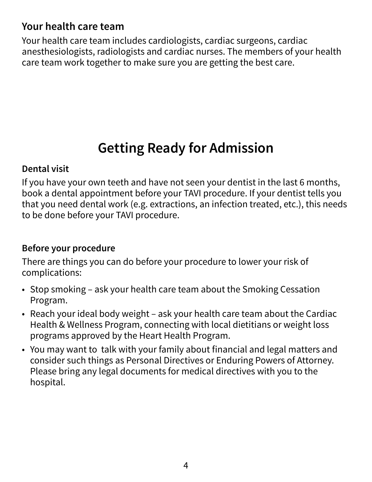#### **Your health care team**

Your health care team includes cardiologists, cardiac surgeons, cardiac anesthesiologists, radiologists and cardiac nurses. The members of your health care team work together to make sure you are getting the best care.

### **Getting Ready for Admission**

#### **Dental visit**

If you have your own teeth and have not seen your dentist in the last 6 months, book a dental appointment before your TAVI procedure. If your dentist tells you that you need dental work (e.g. extractions, an infection treated, etc.), this needs to be done before your TAVI procedure.

#### **Before your procedure**

There are things you can do before your procedure to lower your risk of complications:

- Stop smoking ask your health care team about the Smoking Cessation Program.
- Reach your ideal body weight ask your health care team about the Cardiac Health & Wellness Program, connecting with local dietitians or weight loss programs approved by the Heart Health Program.
- You may want to talk with your family about financial and legal matters and consider such things as Personal Directives or Enduring Powers of Attorney. Please bring any legal documents for medical directives with you to the hospital.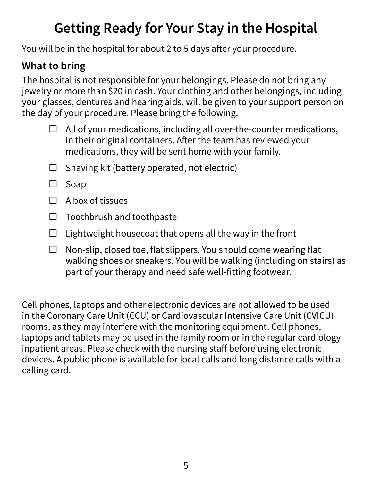### **Getting Ready for Your Stay in the Hospital**

You will be in the hospital for about 2 to 5 days after your procedure.

#### **What to bring**

The hospital is not responsible for your belongings. Please do not bring any jewelry or more than \$20 in cash. Your clothing and other belongings, including your glasses, dentures and hearing aids, will be given to your support person on the day of your procedure. Please bring the following:

- $\Box$  All of your medications, including all over-the-counter medications, in their original containers. After the team has reviewed your medications, they will be sent home with your family.
- $\Box$  Shaving kit (battery operated, not electric)
- $\square$  Soap
- $\Box$  A box of tissues
- $\Box$  Toothbrush and toothpaste
- $\Box$  Lightweight housecoat that opens all the way in the front
- $\Box$  Non-slip, closed toe, flat slippers. You should come wearing flat walking shoes or sneakers. You will be walking (including on stairs) as part of your therapy and need safe well-fitting footwear.

Cell phones, laptops and other electronic devices are not allowed to be used in the Coronary Care Unit (CCU) or Cardiovascular Intensive Care Unit (CVICU) rooms, as they may interfere with the monitoring equipment. Cell phones, laptops and tablets may be used in the family room or in the regular cardiology inpatient areas. Please check with the nursing staff before using electronic devices. A public phone is available for local calls and long distance calls with a calling card.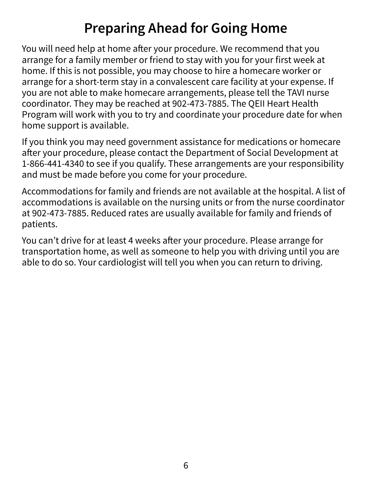### **Preparing Ahead for Going Home**

You will need help at home after your procedure. We recommend that you arrange for a family member or friend to stay with you for your first week at home. If this is not possible, you may choose to hire a homecare worker or arrange for a short-term stay in a convalescent care facility at your expense. If you are not able to make homecare arrangements, please tell the TAVI nurse coordinator. They may be reached at 902-473-7885. The QEII Heart Health Program will work with you to try and coordinate your procedure date for when home support is available.

If you think you may need government assistance for medications or homecare after your procedure, please contact the Department of Social Development at 1-866-441-4340 to see if you qualify. These arrangements are your responsibility and must be made before you come for your procedure.

Accommodations for family and friends are not available at the hospital. A list of accommodations is available on the nursing units or from the nurse coordinator at 902-473-7885. Reduced rates are usually available for family and friends of patients.

You can't drive for at least 4 weeks after your procedure. Please arrange for transportation home, as well as someone to help you with driving until you are able to do so. Your cardiologist will tell you when you can return to driving.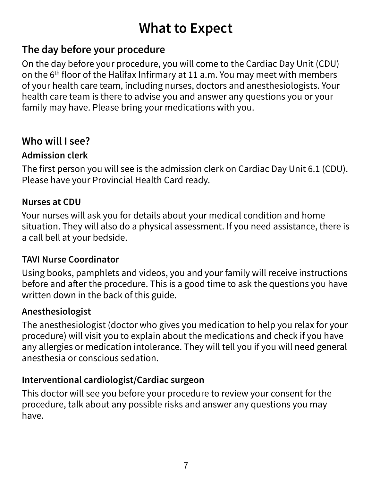### **What to Expect**

#### **The day before your procedure**

On the day before your procedure, you will come to the Cardiac Day Unit (CDU) on the 6<sup>th</sup> floor of the Halifax Infirmary at 11 a.m. You may meet with members of your health care team, including nurses, doctors and anesthesiologists. Your health care team is there to advise you and answer any questions you or your family may have. Please bring your medications with you.

#### **Who will I see?**

#### **Admission clerk**

The first person you will see is the admission clerk on Cardiac Day Unit 6.1 (CDU). Please have your Provincial Health Card ready.

#### **Nurses at CDU**

Your nurses will ask you for details about your medical condition and home situation. They will also do a physical assessment. If you need assistance, there is a call bell at your bedside.

#### **TAVI Nurse Coordinator**

Using books, pamphlets and videos, you and your family will receive instructions before and after the procedure. This is a good time to ask the questions you have written down in the back of this guide.

#### **Anesthesiologist**

The anesthesiologist (doctor who gives you medication to help you relax for your procedure) will visit you to explain about the medications and check if you have any allergies or medication intolerance. They will tell you if you will need general anesthesia or conscious sedation.

#### **Interventional cardiologist/Cardiac surgeon**

This doctor will see you before your procedure to review your consent for the procedure, talk about any possible risks and answer any questions you may have.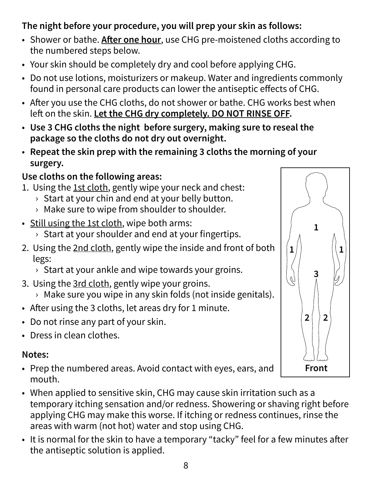#### **The night before your procedure, you will prep your skin as follows:**

- Shower or bathe. **After one hour**, use CHG pre-moistened cloths according to the numbered steps below.
- Your skin should be completely dry and cool before applying CHG.
- Do not use lotions, moisturizers or makeup. Water and ingredients commonly found in personal care products can lower the antiseptic effects of CHG.
- After you use the CHG cloths, do not shower or bathe. CHG works best when left on the skin. **Let the CHG dry completely. DO NOT RINSE OFF.**
- **Use 3 CHG cloths the night before surgery, making sure to reseal the package so the cloths do not dry out overnight.**
- **Repeat the skin prep with the remaining 3 cloths the morning of your surgery.**

#### **Use cloths on the following areas:**

- 1. Using the 1st cloth, gently wipe your neck and chest:
	- $\rightarrow$  Start at your chin and end at your belly button.
	- › Make sure to wipe from shoulder to shoulder.
- Still using the 1st cloth, wipe both arms:
	- › Start at your shoulder and end at your fingertips.
- 2. Using the 2nd cloth, gently wipe the inside and front of both legs:
	- $\rightarrow$  Start at your ankle and wipe towards your groins.
- 3. Using the 3rd cloth, gently wipe your groins.
	- › Make sure you wipe in any skin folds (not inside genitals).
- After using the 3 cloths, let areas dry for 1 minute.
- Do not rinse any part of your skin.
- Dress in clean clothes.

#### **Notes:**

- Prep the numbered areas. Avoid contact with eyes, ears, and mouth.
- When applied to sensitive skin, CHG may cause skin irritation such as a temporary itching sensation and/or redness. Showering or shaving right before applying CHG may make this worse. If itching or redness continues, rinse the areas with warm (not hot) water and stop using CHG.
- It is normal for the skin to have a temporary "tacky" feel for a few minutes after the antiseptic solution is applied.

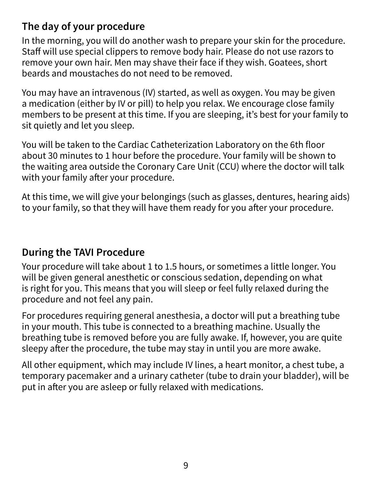#### **The day of your procedure**

In the morning, you will do another wash to prepare your skin for the procedure. Staff will use special clippers to remove body hair. Please do not use razors to remove your own hair. Men may shave their face if they wish. Goatees, short beards and moustaches do not need to be removed.

You may have an intravenous (IV) started, as well as oxygen. You may be given a medication (either by IV or pill) to help you relax. We encourage close family members to be present at this time. If you are sleeping, it's best for your family to sit quietly and let you sleep.

You will be taken to the Cardiac Catheterization Laboratory on the 6th floor about 30 minutes to 1 hour before the procedure. Your family will be shown to the waiting area outside the Coronary Care Unit (CCU) where the doctor will talk with your family after your procedure.

At this time, we will give your belongings (such as glasses, dentures, hearing aids) to your family, so that they will have them ready for you after your procedure.

#### **During the TAVI Procedure**

Your procedure will take about 1 to 1.5 hours, or sometimes a little longer. You will be given general anesthetic or conscious sedation, depending on what is right for you. This means that you will sleep or feel fully relaxed during the procedure and not feel any pain.

For procedures requiring general anesthesia, a doctor will put a breathing tube in your mouth. This tube is connected to a breathing machine. Usually the breathing tube is removed before you are fully awake. If, however, you are quite sleepy after the procedure, the tube may stay in until you are more awake.

All other equipment, which may include IV lines, a heart monitor, a chest tube, a temporary pacemaker and a urinary catheter (tube to drain your bladder), will be put in after you are asleep or fully relaxed with medications.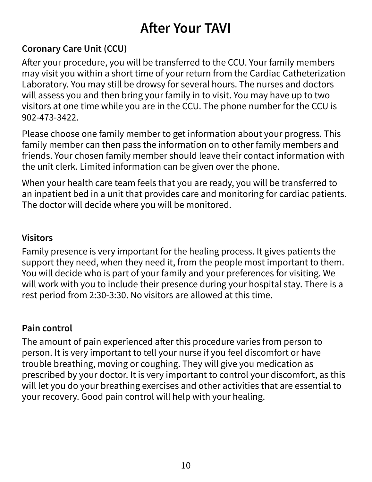### **After Your TAVI**

#### **Coronary Care Unit (CCU)**

After your procedure, you will be transferred to the CCU. Your family members may visit you within a short time of your return from the Cardiac Catheterization Laboratory. You may still be drowsy for several hours. The nurses and doctors will assess you and then bring your family in to visit. You may have up to two visitors at one time while you are in the CCU. The phone number for the CCU is 902-473-3422.

Please choose one family member to get information about your progress. This family member can then pass the information on to other family members and friends. Your chosen family member should leave their contact information with the unit clerk. Limited information can be given over the phone.

When your health care team feels that you are ready, you will be transferred to an inpatient bed in a unit that provides care and monitoring for cardiac patients. The doctor will decide where you will be monitored.

#### **Visitors**

Family presence is very important for the healing process. It gives patients the support they need, when they need it, from the people most important to them. You will decide who is part of your family and your preferences for visiting. We will work with you to include their presence during your hospital stay. There is a rest period from 2:30-3:30. No visitors are allowed at this time.

#### **Pain control**

The amount of pain experienced after this procedure varies from person to person. It is very important to tell your nurse if you feel discomfort or have trouble breathing, moving or coughing. They will give you medication as prescribed by your doctor. It is very important to control your discomfort, as this will let you do your breathing exercises and other activities that are essential to your recovery. Good pain control will help with your healing.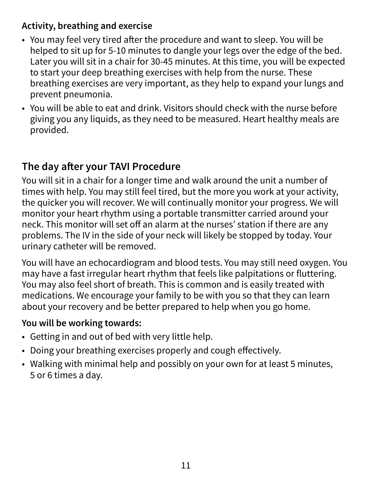#### **Activity, breathing and exercise**

- You may feel very tired after the procedure and want to sleep. You will be helped to sit up for 5-10 minutes to dangle your legs over the edge of the bed. Later you will sit in a chair for 30-45 minutes. At this time, you will be expected to start your deep breathing exercises with help from the nurse. These breathing exercises are very important, as they help to expand your lungs and prevent pneumonia.
- You will be able to eat and drink. Visitors should check with the nurse before giving you any liquids, as they need to be measured. Heart healthy meals are provided.

#### **The day after your TAVI Procedure**

You will sit in a chair for a longer time and walk around the unit a number of times with help. You may still feel tired, but the more you work at your activity, the quicker you will recover. We will continually monitor your progress. We will monitor your heart rhythm using a portable transmitter carried around your neck. This monitor will set off an alarm at the nurses' station if there are any problems. The IV in the side of your neck will likely be stopped by today. Your urinary catheter will be removed.

You will have an echocardiogram and blood tests. You may still need oxygen. You may have a fast irregular heart rhythm that feels like palpitations or fluttering. You may also feel short of breath. This is common and is easily treated with medications. We encourage your family to be with you so that they can learn about your recovery and be better prepared to help when you go home.

#### **You will be working towards:**

- Getting in and out of bed with very little help.
- Doing your breathing exercises properly and cough effectively.
- Walking with minimal help and possibly on your own for at least 5 minutes, 5 or 6 times a day.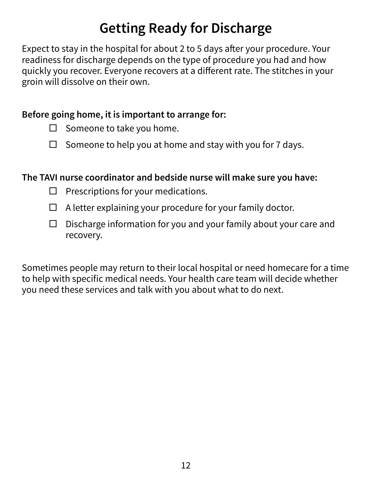### **Getting Ready for Discharge**

Expect to stay in the hospital for about 2 to 5 days after your procedure. Your readiness for discharge depends on the type of procedure you had and how quickly you recover. Everyone recovers at a different rate. The stitches in your groin will dissolve on their own.

#### **Before going home, it is important to arrange for:**

- $\Box$  Someone to take you home.
- $\Box$  Someone to help you at home and stay with you for 7 days.

#### **The TAVI nurse coordinator and bedside nurse will make sure you have:**

- $\Box$  Prescriptions for your medications.
- $\Box$  A letter explaining your procedure for your family doctor.
- $\Box$  Discharge information for you and your family about your care and recovery.

Sometimes people may return to their local hospital or need homecare for a time to help with specific medical needs. Your health care team will decide whether you need these services and talk with you about what to do next.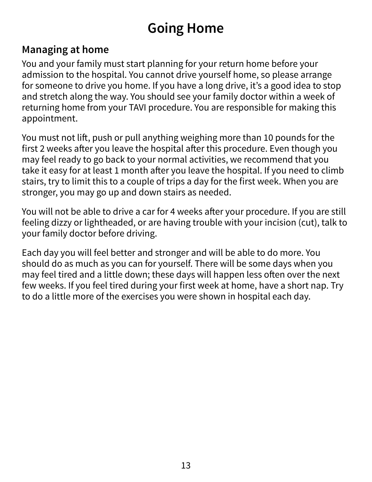### **Going Home**

#### **Managing at home**

You and your family must start planning for your return home before your admission to the hospital. You cannot drive yourself home, so please arrange for someone to drive you home. If you have a long drive, it's a good idea to stop and stretch along the way. You should see your family doctor within a week of returning home from your TAVI procedure. You are responsible for making this appointment.

You must not lift, push or pull anything weighing more than 10 pounds for the first 2 weeks after you leave the hospital after this procedure. Even though you may feel ready to go back to your normal activities, we recommend that you take it easy for at least 1 month after you leave the hospital. If you need to climb stairs, try to limit this to a couple of trips a day for the first week. When you are stronger, you may go up and down stairs as needed.

You will not be able to drive a car for 4 weeks after your procedure. If you are still feeling dizzy or lightheaded, or are having trouble with your incision (cut), talk to your family doctor before driving.

Each day you will feel better and stronger and will be able to do more. You should do as much as you can for yourself. There will be some days when you may feel tired and a little down; these days will happen less often over the next few weeks. If you feel tired during your first week at home, have a short nap. Try to do a little more of the exercises you were shown in hospital each day.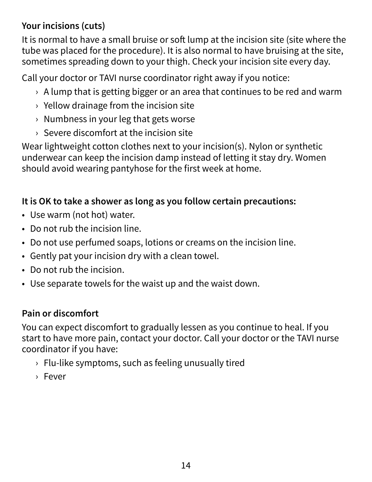#### **Your incisions (cuts)**

It is normal to have a small bruise or soft lump at the incision site (site where the tube was placed for the procedure). It is also normal to have bruising at the site, sometimes spreading down to your thigh. Check your incision site every day.

Call your doctor or TAVI nurse coordinator right away if you notice:

- $\rightarrow$  A lump that is getting bigger or an area that continues to be red and warm
- $\rightarrow$  Yellow drainage from the incision site
- › Numbness in your leg that gets worse
- › Severe discomfort at the incision site

Wear lightweight cotton clothes next to your incision(s). Nylon or synthetic underwear can keep the incision damp instead of letting it stay dry. Women should avoid wearing pantyhose for the first week at home.

#### **It is OK to take a shower as long as you follow certain precautions:**

- Use warm (not hot) water.
- Do not rub the incision line.
- Do not use perfumed soaps, lotions or creams on the incision line.
- Gently pat your incision dry with a clean towel.
- Do not rub the incision.
- Use separate towels for the waist up and the waist down.

#### **Pain or discomfort**

You can expect discomfort to gradually lessen as you continue to heal. If you start to have more pain, contact your doctor.
Call your doctor or the TAVI nurse coordinator if you have:

- › Flu-like symptoms, such as feeling unusually tired
- › Fever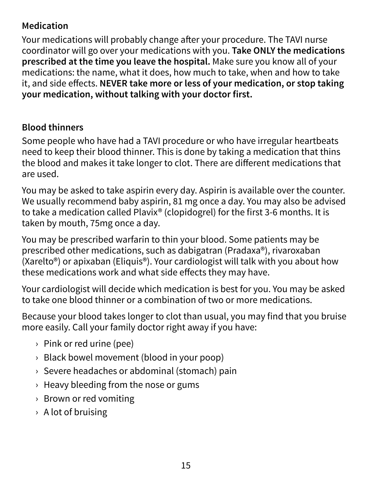#### **Medication**

Your medications will probably change after your procedure. The TAVI nurse coordinator will go over your medications with you. **Take ONLY the medications prescribed at the time you leave the hospital.** Make sure you know all of your medications: the name, what it does, how much to take, when and how to take it, and side effects. **NEVER take more or less of your medication, or stop taking your medication, without talking with your doctor first.** 

#### **Blood thinners**

Some people who have had a TAVI procedure or who have irregular heartbeats need to keep their blood thinner. This is done by taking a medication that thins the blood and makes it take longer to clot. There are different medications that are used.

You may be asked to take aspirin every day. Aspirin is available over the counter. We usually recommend baby aspirin, 81 mg once a day. You may also be advised to take a medication called Plavix® (clopidogrel) for the first 3-6 months. It is taken by mouth, 75mg once a day.

You may be prescribed warfarin to thin your blood. Some patients may be prescribed other medications, such as dabigatran (Pradaxa®), rivaroxaban (Xarelto®) or apixaban (Eliquis®). Your cardiologist will talk with you about how these medications work and what side effects they may have.

Your cardiologist will decide which medication is best for you. You may be asked to take one blood thinner or a combination of two or more medications.

Because your blood takes longer to clot than usual, you may find that you bruise more easily. Call your family doctor right away if you have:

- › Pink or red urine (pee)
- › Black bowel movement (blood in your poop)
- › Severe headaches or abdominal (stomach) pain
- $\rightarrow$  Heavy bleeding from the nose or gums
- › Brown or red vomiting
- › A lot of bruising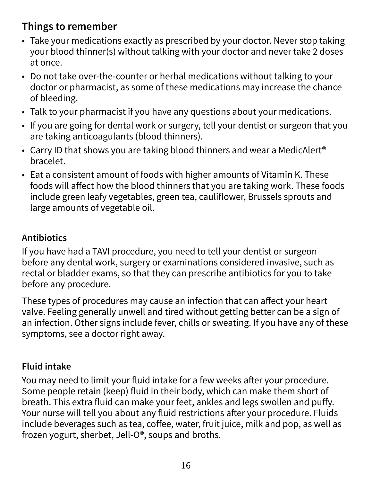#### **Things to remember**

- Take your medications exactly as prescribed by your doctor.
Never stop taking your blood thinner(s) without talking with your doctor and never take 2 doses at once.
- Do not take over-the-counter or herbal medications without talking to your doctor or pharmacist, as some of these medications may increase the chance of bleeding.
- Talk to your pharmacist if you have any questions about your medications.
- If you are going for dental work or surgery, tell your dentist or surgeon that you are taking anticoagulants (blood thinners).
- Carry ID that shows you are taking blood thinners and wear a MedicAlert<sup>®</sup> bracelet.
- Eat a consistent amount of foods with higher amounts of Vitamin K. These foods will affect how the blood thinners that you are taking work. These foods include green leafy vegetables, green tea, cauliflower, Brussels sprouts and large amounts of vegetable oil.

#### **Antibiotics**

If you have had a TAVI procedure, you need to tell your dentist or surgeon before any dental work, surgery or examinations considered invasive, such as rectal or bladder exams, so that they can prescribe antibiotics for you to take before any procedure.

These types of procedures may cause an infection that can affect your heart valve. Feeling generally unwell and tired without getting better can be a sign of an infection. Other signs include fever, chills or sweating. If you have any of these symptoms, see a doctor right away.

#### **Fluid intake**

You may need to limit your fluid intake for a few weeks after your procedure. Some people retain (keep) fluid in their body, which can make them short of breath. This extra fluid can make your feet, ankles and legs swollen and puffy. Your nurse will tell you about any fluid restrictions after your procedure. Fluids include beverages such as tea, coffee, water, fruit juice, milk and pop, as well as frozen yogurt, sherbet, Jell-O®, soups and broths.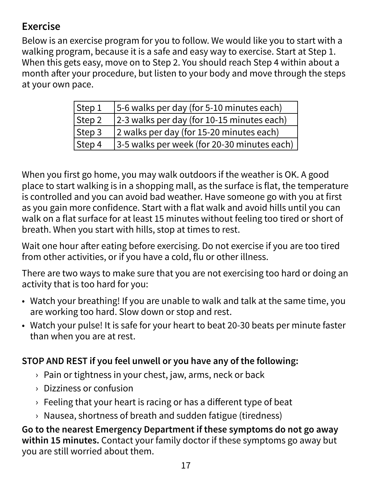#### **Exercise**

Below is an exercise program for you to follow. We would like you to start with a walking program, because it is a safe and easy way to exercise. Start at Step 1. When this gets easy, move on to Step 2. You should reach Step 4 within about a month after your procedure, but listen to your body and move through the steps at your own pace.

| Step 1 | 5-6 walks per day (for 5-10 minutes each)    |
|--------|----------------------------------------------|
| Step 2 | 2-3 walks per day (for 10-15 minutes each)   |
| Step 3 | 2 walks per day (for 15-20 minutes each)     |
| Step 4 | [3-5 walks per week (for 20-30 minutes each) |

When you first go home, you may walk outdoors if the weather is OK. A good place to start walking is in a shopping mall, as the surface is flat, the temperature is controlled and you can avoid bad weather. Have someone go with you at first as you gain more confidence. Start with a flat walk and avoid hills until you can walk on a flat surface for at least 15 minutes without feeling too tired or short of breath. When you start with hills, stop at times to rest.

Wait one hour after eating before exercising. Do not exercise if you are too tired from other activities, or if you have a cold, flu or other illness.

There are two ways to make sure that you are not exercising too hard or doing an activity that is too hard for you:

- Watch your breathing! If you are unable to walk and talk at the same time, you are working too hard. Slow down or stop and rest.
- Watch your pulse! It is safe for your heart to beat 20-30 beats per minute faster than when you are at rest.

#### **STOP AND REST if you feel unwell or you have any of the following:**

- › Pain or tightness in your chest, jaw, arms, neck or back
- › Dizziness or confusion
- $\rightarrow$  Feeling that your heart is racing or has a different type of beat
- › Nausea, shortness of breath and sudden fatigue (tiredness)

**Go to the nearest Emergency Department if these symptoms do not go away within 15 minutes.** Contact your family doctor if these symptoms go away but you are still worried about them.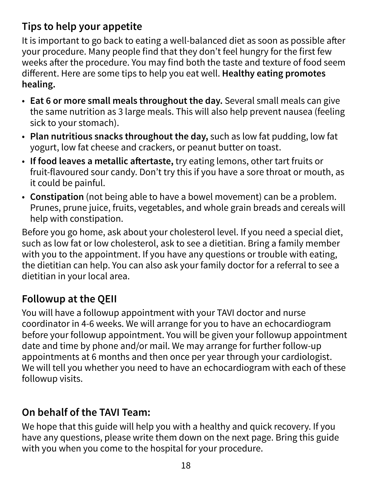#### **Tips to help your appetite**

It is important to go back to eating a well-balanced diet as soon as possible after your procedure. Many people find that they don't feel hungry for the first few weeks after the procedure. You may find both the taste and texture of food seem different. Here are some tips to help you eat well. **Healthy eating promotes healing.** 

- **Eat 6 or more small meals throughout the day.** Several small meals can give the same nutrition as 3 large meals. This will also help prevent nausea (feeling sick to your stomach).
- **Plan nutritious snacks throughout the day,** such as low fat pudding, low fat yogurt, low fat cheese and crackers, or peanut butter on toast.
- **If food leaves a metallic aftertaste,** try eating lemons, other tart fruits or fruit-flavoured sour candy. Don't try this if you have a sore throat or mouth, as it could be painful.
- **Constipation** (not being able to have a bowel movement) can be a problem. Prunes, prune juice, fruits, vegetables, and whole grain breads and cereals will help with constipation.

Before you go home, ask about your cholesterol level. If you need a special diet, such as low fat or low cholesterol, ask to see a dietitian. Bring a family member with you to the appointment. If you have any questions or trouble with eating, the dietitian can help. You can also ask your family doctor for a referral to see a dietitian in your local area.

#### **Followup at the QEII**

You will have a followup appointment with your TAVI doctor and nurse coordinator in 4-6 weeks. We will arrange for you to have an echocardiogram before your followup appointment. You will be given your followup appointment date and time by phone and/or mail. We may arrange for further follow-up appointments at 6 months and then once per year through your cardiologist. We will tell you whether you need to have an echocardiogram with each of these followup visits.

#### **On behalf of the TAVI Team:**

We hope that this guide will help you with a healthy and quick recovery. If you have any questions, please write them down on the next page. Bring this guide with you when you come to the hospital for your procedure.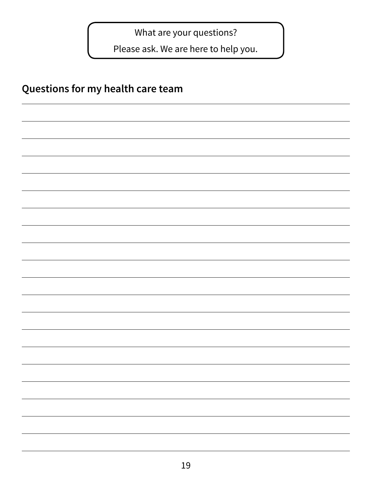What are your questions?

Please ask. We are here to help you.

#### **Questions for my health care team**